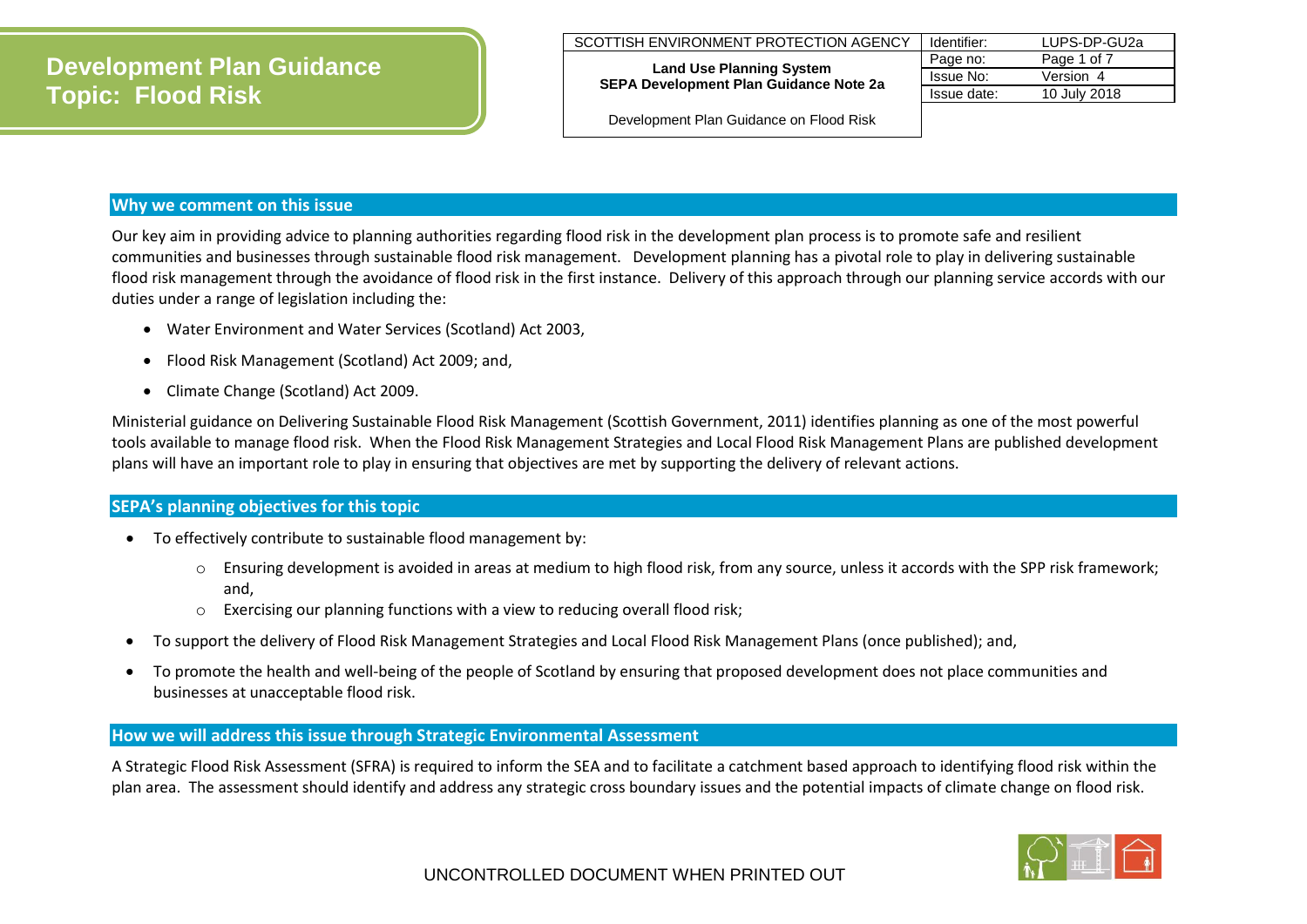| SCOTTISH ENVIRONMENT PROTECTION AGENCY                                           | Identifier: | LUPS-DP-GU2a |
|----------------------------------------------------------------------------------|-------------|--------------|
|                                                                                  | Page no:    | Page 1 of 7  |
| <b>Land Use Planning System</b><br><b>SEPA Development Plan Guidance Note 2a</b> | Issue No:   | Version 4    |
|                                                                                  | Issue date: | 10 July 2018 |
|                                                                                  |             |              |

Development Plan Guidance on Flood Risk

## **Why we comment on this issue**

Our key aim in providing advice to planning authorities regarding flood risk in the development plan process is to promote safe and resilient communities and businesses through sustainable flood risk management. Development planning has a pivotal role to play in delivering sustainable flood risk management through the avoidance of flood risk in the first instance. Delivery of this approach through our planning service accords with our duties under a range of legislation including the:

- Water Environment and Water Services (Scotland) Act 2003,
- Flood Risk Management (Scotland) Act 2009; and,
- Climate Change (Scotland) Act 2009.

Ministerial guidance on Delivering Sustainable Flood Risk Management (Scottish Government, 2011) identifies planning as one of the most powerful tools available to manage flood risk. When the Flood Risk Management Strategies and Local Flood Risk Management Plans are published development plans will have an important role to play in ensuring that objectives are met by supporting the delivery of relevant actions.

## **SEPA's planning objectives for this topic**

- To effectively contribute to sustainable flood management by:
	- o Ensuring development is avoided in areas at medium to high flood risk, from any source, unless it accords with the SPP risk framework; and,
	- $\circ$  Exercising our planning functions with a view to reducing overall flood risk;
- To support the delivery of Flood Risk Management Strategies and Local Flood Risk Management Plans (once published); and,
- To promote the health and well-being of the people of Scotland by ensuring that proposed development does not place communities and businesses at unacceptable flood risk.

## **How we will address this issue through Strategic Environmental Assessment**

A Strategic Flood Risk Assessment (SFRA) is required to inform the SEA and to facilitate a catchment based approach to identifying flood risk within the plan area. The assessment should identify and address any strategic cross boundary issues and the potential impacts of climate change on flood risk.

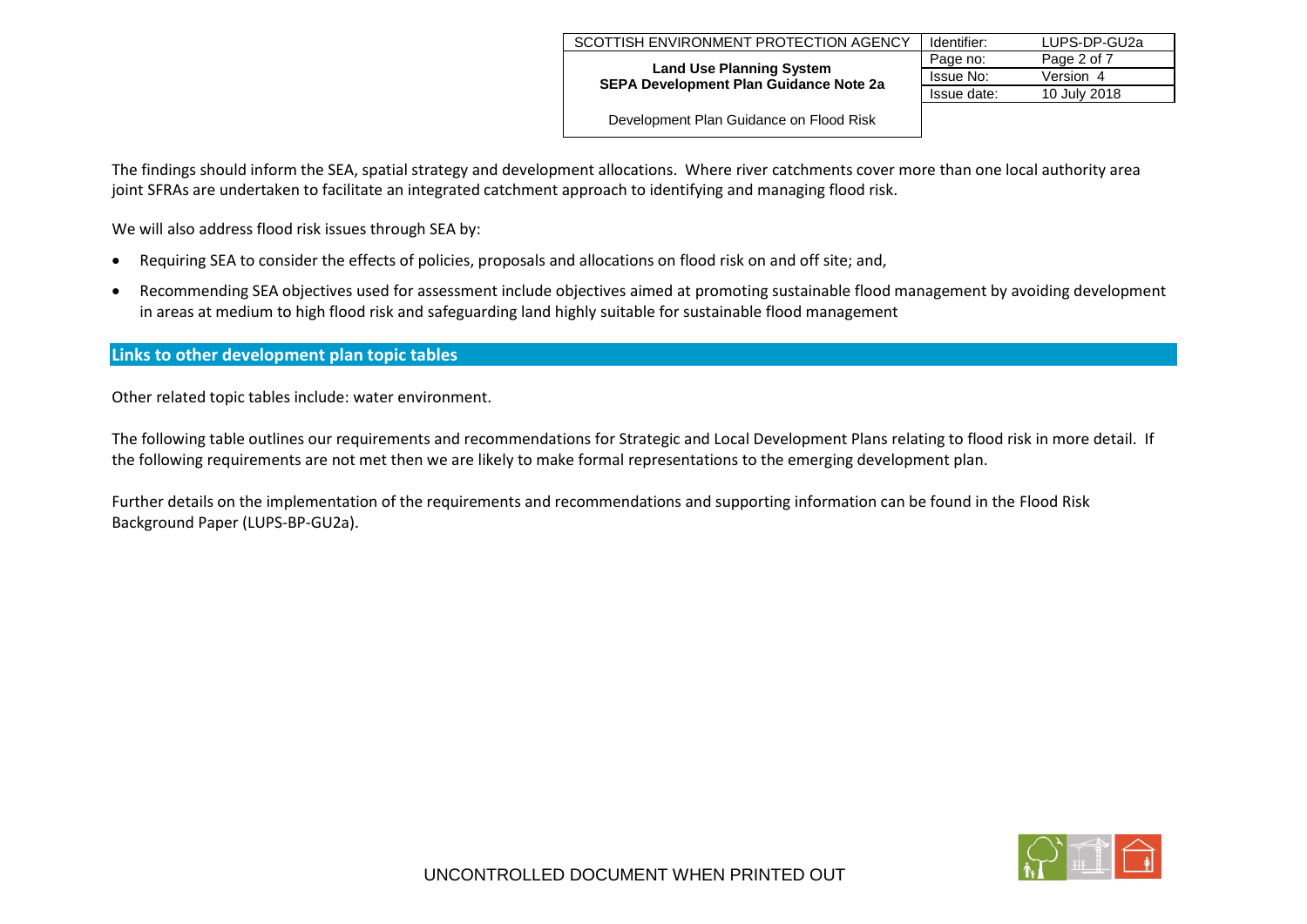|                                                                                                                            | Identifier: | LUPS-DP-GU2a |
|----------------------------------------------------------------------------------------------------------------------------|-------------|--------------|
| SCOTTISH ENVIRONMENT PROTECTION AGENCY<br><b>Land Use Planning System</b><br><b>SEPA Development Plan Guidance Note 2a</b> | Page no:    | Page 2 of 7  |
|                                                                                                                            | Issue No:   | Version 4    |
|                                                                                                                            | Issue date: | 10 July 2018 |
| Development Plan Guidance on Flood Risk                                                                                    |             |              |

The findings should inform the SEA, spatial strategy and development allocations. Where river catchments cover more than one local authority area joint SFRAs are undertaken to facilitate an integrated catchment approach to identifying and managing flood risk.

We will also address flood risk issues through SEA by:

- Requiring SEA to consider the effects of policies, proposals and allocations on flood risk on and off site; and,
- Recommending SEA objectives used for assessment include objectives aimed at promoting sustainable flood management by avoiding development in areas at medium to high flood risk and safeguarding land highly suitable for sustainable flood management

## **Links to other development plan topic tables**

Other related topic tables include: water environment.

The following table outlines our requirements and recommendations for Strategic and Local Development Plans relating to flood risk in more detail. If the following requirements are not met then we are likely to make formal representations to the emerging development plan.

Further details on the implementation of the requirements and recommendations and supporting information can be found in the Flood Risk Background Paper (LUPS-BP-GU2a).

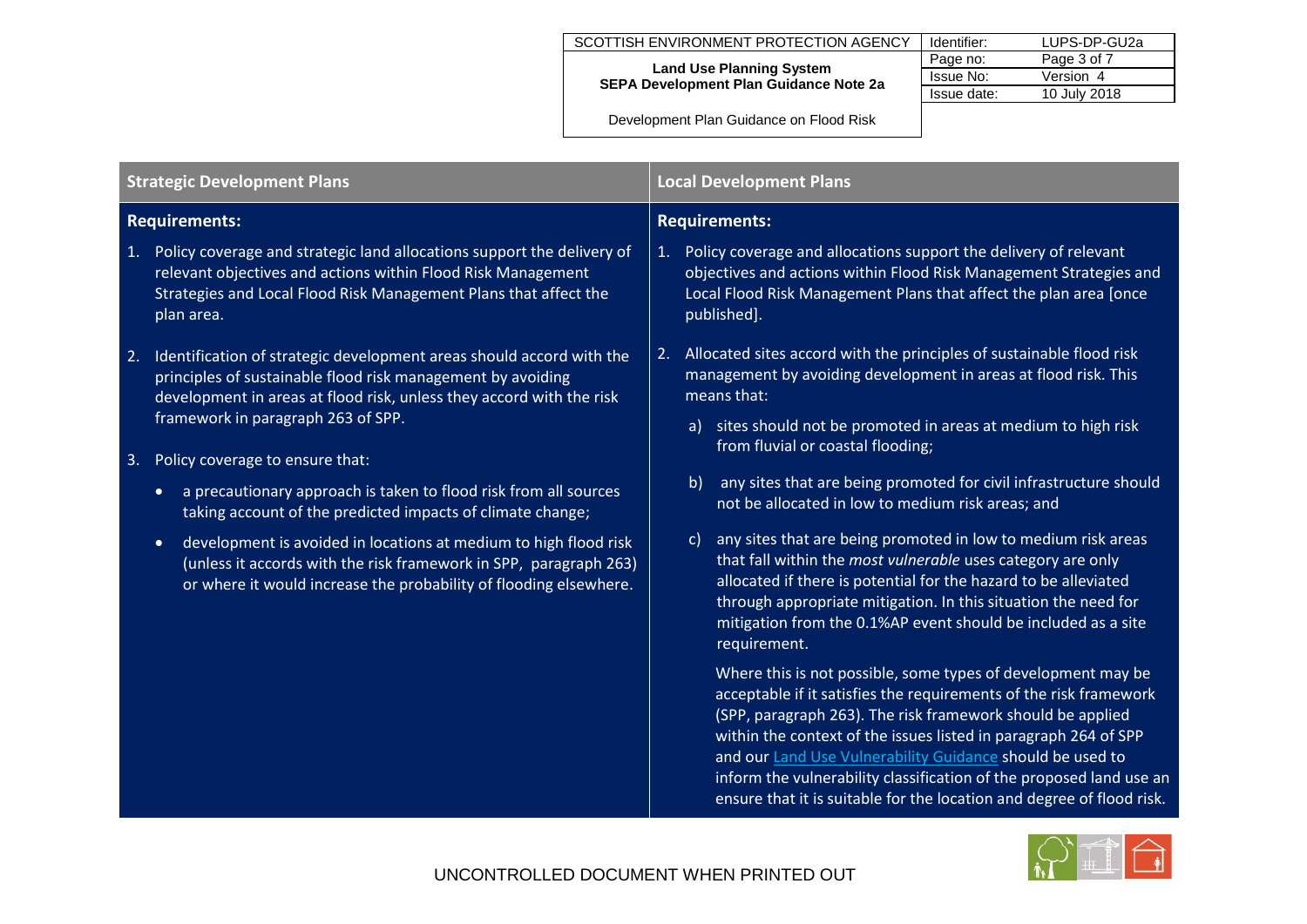| SCOTTISH ENVIRONMENT PROTECTION AGENCY                                           | Identifier: | LUPS-DP-GU2a |  |  |
|----------------------------------------------------------------------------------|-------------|--------------|--|--|
|                                                                                  | Page no:    | Page 3 of 7  |  |  |
| <b>Land Use Planning System</b><br><b>SEPA Development Plan Guidance Note 2a</b> | Issue No:   | Version 4    |  |  |
|                                                                                  | Issue date: | 10 July 2018 |  |  |
| Development Plan Guidance on Flood Risk                                          |             |              |  |  |

| <b>Strategic Development Plans</b>                                                                                                                                                                                      | <b>Local Development Plans</b>                                                                                                                                                                                                                                                                                                                                                                                                                                                  |  |  |
|-------------------------------------------------------------------------------------------------------------------------------------------------------------------------------------------------------------------------|---------------------------------------------------------------------------------------------------------------------------------------------------------------------------------------------------------------------------------------------------------------------------------------------------------------------------------------------------------------------------------------------------------------------------------------------------------------------------------|--|--|
| <b>Requirements:</b>                                                                                                                                                                                                    | <b>Requirements:</b>                                                                                                                                                                                                                                                                                                                                                                                                                                                            |  |  |
| 1. Policy coverage and strategic land allocations support the delivery of                                                                                                                                               | 1. Policy coverage and allocations support the delivery of relevant                                                                                                                                                                                                                                                                                                                                                                                                             |  |  |
| relevant objectives and actions within Flood Risk Management                                                                                                                                                            | objectives and actions within Flood Risk Management Strategies and                                                                                                                                                                                                                                                                                                                                                                                                              |  |  |
| Strategies and Local Flood Risk Management Plans that affect the                                                                                                                                                        | Local Flood Risk Management Plans that affect the plan area [once                                                                                                                                                                                                                                                                                                                                                                                                               |  |  |
| plan area.                                                                                                                                                                                                              | published].                                                                                                                                                                                                                                                                                                                                                                                                                                                                     |  |  |
| Identification of strategic development areas should accord with the                                                                                                                                                    | Allocated sites accord with the principles of sustainable flood risk                                                                                                                                                                                                                                                                                                                                                                                                            |  |  |
| 2.                                                                                                                                                                                                                      | 2.                                                                                                                                                                                                                                                                                                                                                                                                                                                                              |  |  |
| principles of sustainable flood risk management by avoiding                                                                                                                                                             | management by avoiding development in areas at flood risk. This                                                                                                                                                                                                                                                                                                                                                                                                                 |  |  |
| development in areas at flood risk, unless they accord with the risk                                                                                                                                                    | means that:                                                                                                                                                                                                                                                                                                                                                                                                                                                                     |  |  |
| framework in paragraph 263 of SPP.                                                                                                                                                                                      | sites should not be promoted in areas at medium to high risk                                                                                                                                                                                                                                                                                                                                                                                                                    |  |  |
| Policy coverage to ensure that:                                                                                                                                                                                         | a)                                                                                                                                                                                                                                                                                                                                                                                                                                                                              |  |  |
| 3.                                                                                                                                                                                                                      | from fluvial or coastal flooding;                                                                                                                                                                                                                                                                                                                                                                                                                                               |  |  |
| a precautionary approach is taken to flood risk from all sources                                                                                                                                                        | b)                                                                                                                                                                                                                                                                                                                                                                                                                                                                              |  |  |
| $\bullet$                                                                                                                                                                                                               | any sites that are being promoted for civil infrastructure should                                                                                                                                                                                                                                                                                                                                                                                                               |  |  |
| taking account of the predicted impacts of climate change;                                                                                                                                                              | not be allocated in low to medium risk areas; and                                                                                                                                                                                                                                                                                                                                                                                                                               |  |  |
| development is avoided in locations at medium to high flood risk<br>$\bullet$<br>(unless it accords with the risk framework in SPP, paragraph 263)<br>or where it would increase the probability of flooding elsewhere. | any sites that are being promoted in low to medium risk areas<br>$\mathsf{C}$<br>that fall within the most vulnerable uses category are only<br>allocated if there is potential for the hazard to be alleviated<br>through appropriate mitigation. In this situation the need for<br>mitigation from the 0.1%AP event should be included as a site<br>requirement.                                                                                                              |  |  |
|                                                                                                                                                                                                                         | Where this is not possible, some types of development may be<br>acceptable if it satisfies the requirements of the risk framework<br>(SPP, paragraph 263). The risk framework should be applied<br>within the context of the issues listed in paragraph 264 of SPP<br>and our Land Use Vulnerability Guidance should be used to<br>inform the vulnerability classification of the proposed land use an<br>ensure that it is suitable for the location and degree of flood risk. |  |  |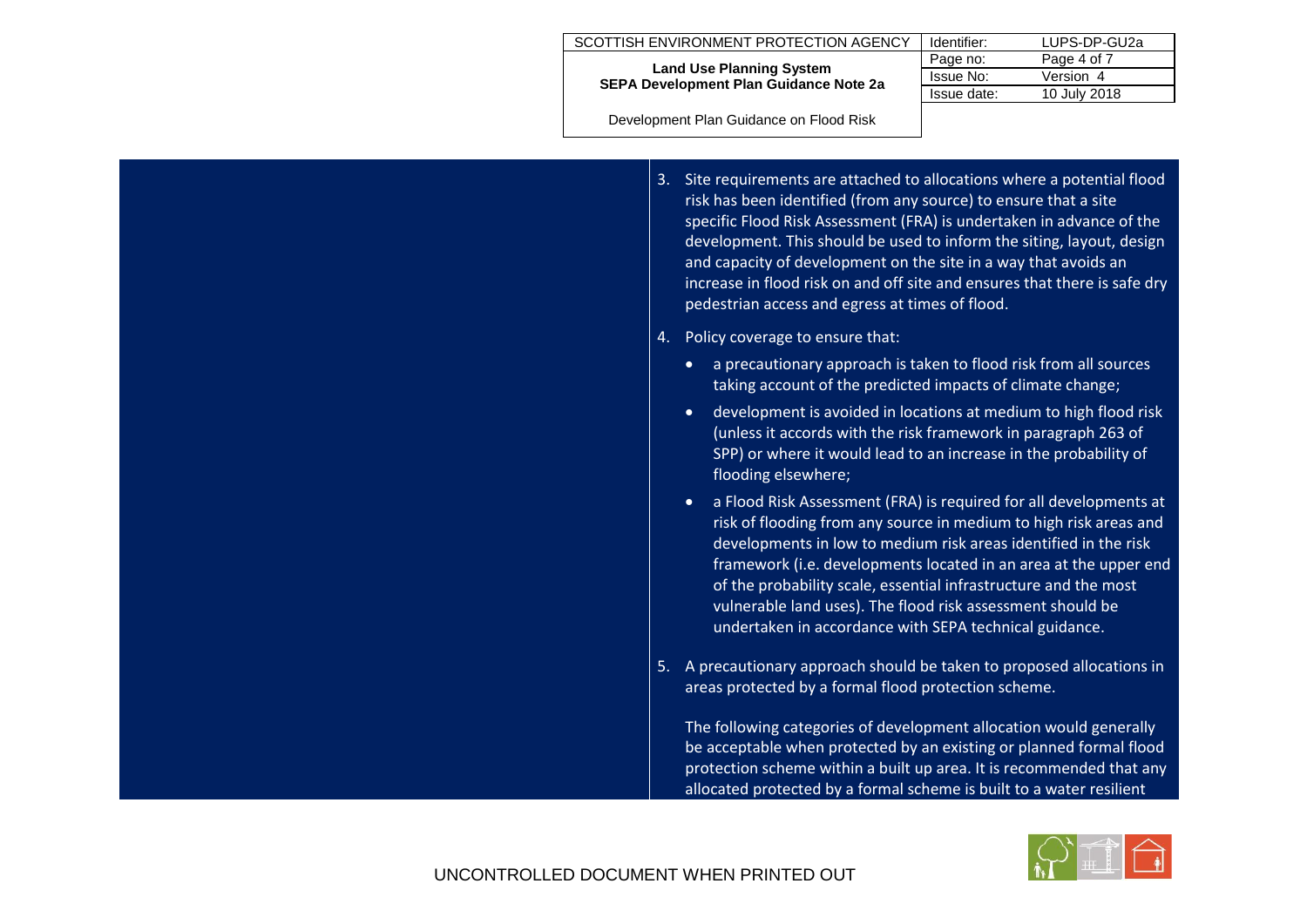| SCOTTISH ENVIRONMENT PROTECTION AGENCY                                           | LUPS-DP-GU2a<br>Identifier: |              |
|----------------------------------------------------------------------------------|-----------------------------|--------------|
|                                                                                  | Page no:                    | Page 4 of 7  |
| <b>Land Use Planning System</b><br><b>SEPA Development Plan Guidance Note 2a</b> | Issue No:                   | Version 4    |
|                                                                                  | Issue date:                 | 10 July 2018 |
|                                                                                  |                             |              |

Development Plan Guidance on Flood Risk

- 3. Site requirements are attached to allocations where a potential flood risk has been identified (from any source) to ensure that a site specific Flood Risk Assessment (FRA) is undertaken in advance of the development. This should be used to inform the siting, layout, design and capacity of development on the site in a way that avoids an increase in flood risk on and off site and ensures that there is safe dry pedestrian access and egress at times of flood.
- 4. Policy coverage to ensure that:
	- a precautionary approach is taken to flood risk from all sources taking account of the predicted impacts of climate change;
	- development is avoided in locations at medium to high flood risk (unless it accords with the risk framework in paragraph 263 of SPP) or where it would lead to an increase in the probability of flooding elsewhere;
	- a Flood Risk Assessment (FRA) is required for all developments at risk of flooding from any source in medium to high risk areas and developments in low to medium risk areas identified in the risk framework (i.e. developments located in an area at the upper end of the probability scale, essential infrastructure and the most vulnerable land uses). The flood risk assessment should be undertaken in accordance with SEPA technical guidance.
- 5. A precautionary approach should be taken to proposed allocations in areas protected by a formal flood protection scheme.

The following categories of development allocation would generally be acceptable when protected by an existing or planned formal flood protection scheme within a built up area. It is recommended that any allocated protected by a formal scheme is built to a water resilient

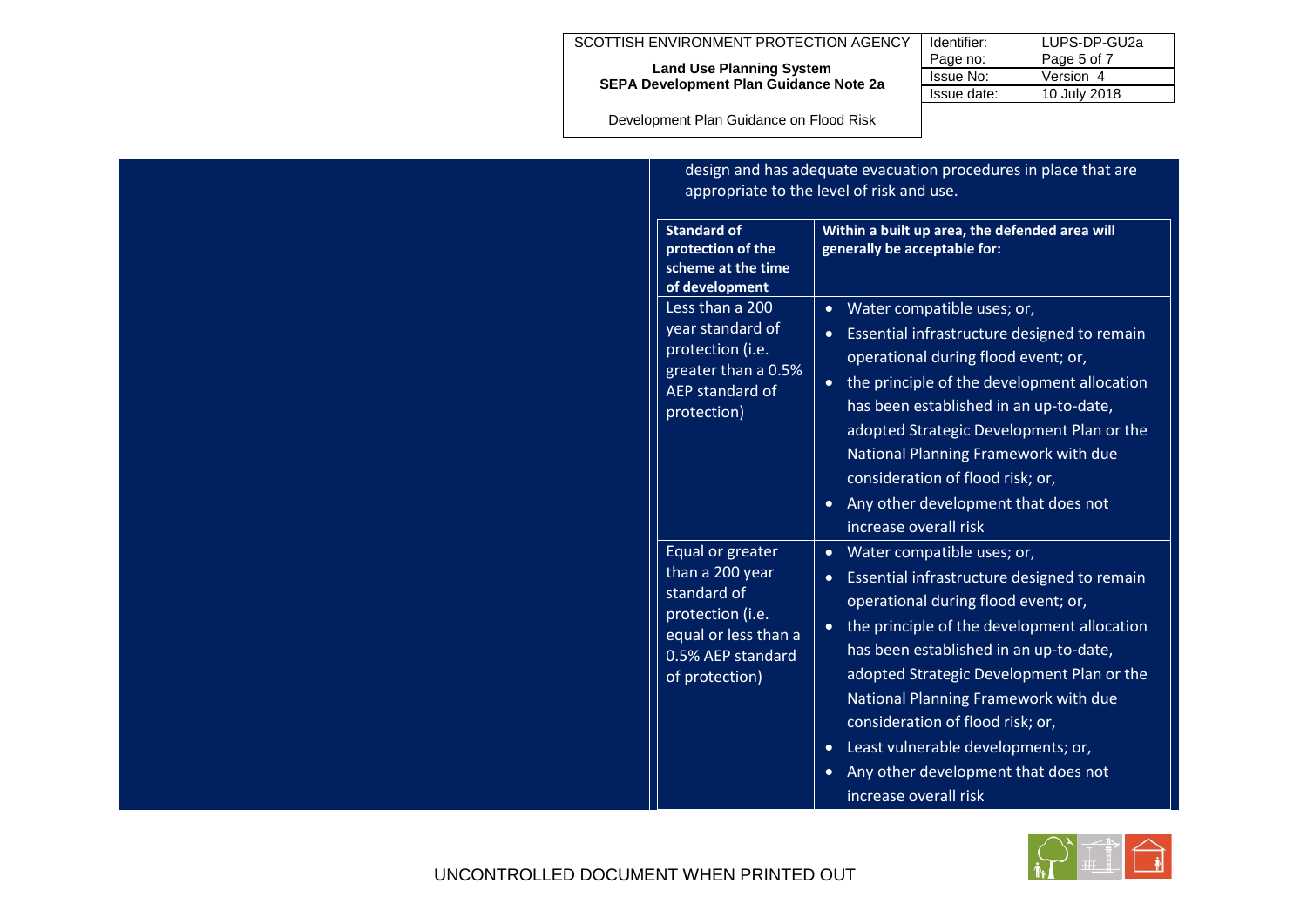| SCOTTISH ENVIRONMENT PROTECTION AGENCY                                           | Identifier: | LUPS-DP-GU2a |
|----------------------------------------------------------------------------------|-------------|--------------|
|                                                                                  | Page no:    | Page 5 of 7  |
| <b>Land Use Planning System</b><br><b>SEPA Development Plan Guidance Note 2a</b> | Issue No:   | Version 4    |
|                                                                                  | Issue date: | 10 July 2018 |
|                                                                                  |             |              |

Development Plan Guidance on Flood Risk

| <b>Standard of</b><br>protection of the<br>scheme at the time<br>of development                                                       | design and has adequate evacuation procedures in place that are<br>appropriate to the level of risk and use.<br>Within a built up area, the defended area will<br>generally be acceptable for:                                                                                                                                                                                                                                                                                  |  |  |
|---------------------------------------------------------------------------------------------------------------------------------------|---------------------------------------------------------------------------------------------------------------------------------------------------------------------------------------------------------------------------------------------------------------------------------------------------------------------------------------------------------------------------------------------------------------------------------------------------------------------------------|--|--|
| Less than a 200<br>year standard of<br>protection (i.e.<br>greater than a 0.5%<br>AEP standard of<br>protection)                      | Water compatible uses; or,<br>$\bullet$<br>Essential infrastructure designed to remain<br>$\bullet$<br>operational during flood event; or,<br>the principle of the development allocation<br>has been established in an up-to-date,<br>adopted Strategic Development Plan or the<br>National Planning Framework with due<br>consideration of flood risk; or,<br>Any other development that does not<br>$\bullet$<br>increase overall risk                                       |  |  |
| Equal or greater<br>than a 200 year<br>standard of<br>protection (i.e.<br>equal or less than a<br>0.5% AEP standard<br>of protection) | Water compatible uses; or,<br>$\bullet$<br>Essential infrastructure designed to remain<br>$\bullet$<br>operational during flood event; or,<br>the principle of the development allocation<br>has been established in an up-to-date,<br>adopted Strategic Development Plan or the<br>National Planning Framework with due<br>consideration of flood risk; or,<br>Least vulnerable developments; or,<br>$\bullet$<br>Any other development that does not<br>increase overall risk |  |  |

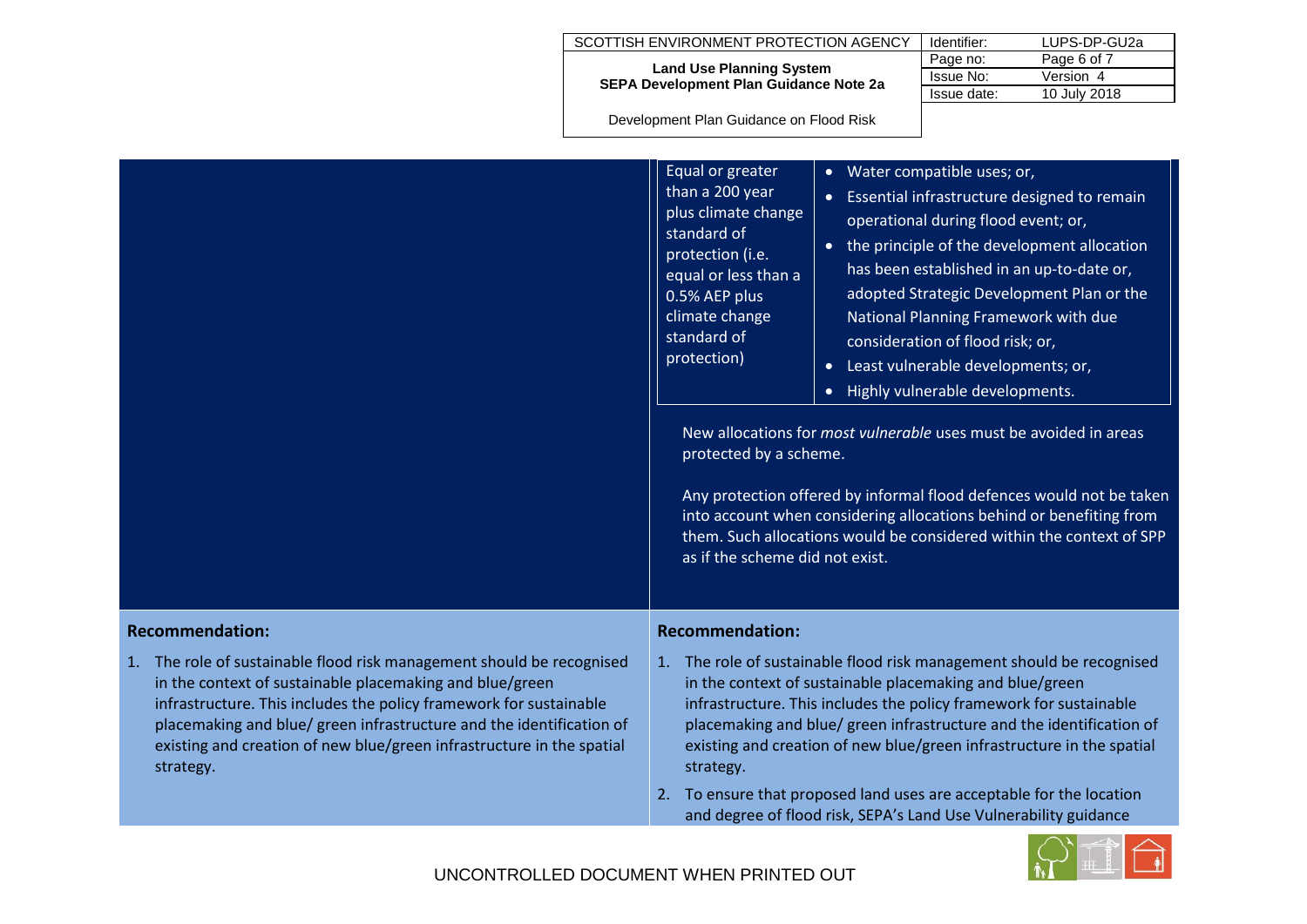|                        |                                                                                                                                                                                                                                                                                                                                                                       | SCOTTISH ENVIRONMENT PROTECTION AGENCY                                                                                                                                                                                                                                                                                                                                                                                                                                                                                                                                                                                                                                                                                                                                                                                                                                                                                                                                                                                             | Identifier:                                                                                                                                                                                                                                                                                                                                                                                                                                                                                          | LUPS-DP-GU2a |                           |
|------------------------|-----------------------------------------------------------------------------------------------------------------------------------------------------------------------------------------------------------------------------------------------------------------------------------------------------------------------------------------------------------------------|------------------------------------------------------------------------------------------------------------------------------------------------------------------------------------------------------------------------------------------------------------------------------------------------------------------------------------------------------------------------------------------------------------------------------------------------------------------------------------------------------------------------------------------------------------------------------------------------------------------------------------------------------------------------------------------------------------------------------------------------------------------------------------------------------------------------------------------------------------------------------------------------------------------------------------------------------------------------------------------------------------------------------------|------------------------------------------------------------------------------------------------------------------------------------------------------------------------------------------------------------------------------------------------------------------------------------------------------------------------------------------------------------------------------------------------------------------------------------------------------------------------------------------------------|--------------|---------------------------|
|                        |                                                                                                                                                                                                                                                                                                                                                                       | <b>Land Use Planning System</b>                                                                                                                                                                                                                                                                                                                                                                                                                                                                                                                                                                                                                                                                                                                                                                                                                                                                                                                                                                                                    | Page no:<br>Issue No:                                                                                                                                                                                                                                                                                                                                                                                                                                                                                | Page 6 of 7  |                           |
|                        |                                                                                                                                                                                                                                                                                                                                                                       | SEPA Development Plan Guidance Note 2a                                                                                                                                                                                                                                                                                                                                                                                                                                                                                                                                                                                                                                                                                                                                                                                                                                                                                                                                                                                             |                                                                                                                                                                                                                                                                                                                                                                                                                                                                                                      |              | Version 4<br>10 July 2018 |
|                        |                                                                                                                                                                                                                                                                                                                                                                       |                                                                                                                                                                                                                                                                                                                                                                                                                                                                                                                                                                                                                                                                                                                                                                                                                                                                                                                                                                                                                                    |                                                                                                                                                                                                                                                                                                                                                                                                                                                                                                      | Issue date:  |                           |
|                        |                                                                                                                                                                                                                                                                                                                                                                       |                                                                                                                                                                                                                                                                                                                                                                                                                                                                                                                                                                                                                                                                                                                                                                                                                                                                                                                                                                                                                                    |                                                                                                                                                                                                                                                                                                                                                                                                                                                                                                      |              |                           |
|                        |                                                                                                                                                                                                                                                                                                                                                                       | Development Plan Guidance on Flood Risk<br>Equal or greater<br>Water compatible uses; or,<br>than a 200 year<br>Essential infrastructure designed to remain<br>plus climate change<br>operational during flood event; or,<br>standard of<br>• the principle of the development allocation<br>protection (i.e.<br>has been established in an up-to-date or,<br>equal or less than a<br>adopted Strategic Development Plan or the<br>0.5% AEP plus<br>climate change<br>National Planning Framework with due<br>standard of<br>consideration of flood risk; or,<br>protection)<br>Least vulnerable developments; or,<br>$\bullet$<br>Highly vulnerable developments.<br>New allocations for <i>most vulnerable</i> uses must be avoided in areas<br>protected by a scheme.<br>Any protection offered by informal flood defences would not be taken<br>into account when considering allocations behind or benefiting from<br>them. Such allocations would be considered within the context of SPP<br>as if the scheme did not exist. |                                                                                                                                                                                                                                                                                                                                                                                                                                                                                                      |              |                           |
| <b>Recommendation:</b> |                                                                                                                                                                                                                                                                                                                                                                       | <b>Recommendation:</b>                                                                                                                                                                                                                                                                                                                                                                                                                                                                                                                                                                                                                                                                                                                                                                                                                                                                                                                                                                                                             |                                                                                                                                                                                                                                                                                                                                                                                                                                                                                                      |              |                           |
|                        | 1. The role of sustainable flood risk management should be recognised<br>in the context of sustainable placemaking and blue/green<br>infrastructure. This includes the policy framework for sustainable<br>placemaking and blue/ green infrastructure and the identification of<br>existing and creation of new blue/green infrastructure in the spatial<br>strategy. | strategy.                                                                                                                                                                                                                                                                                                                                                                                                                                                                                                                                                                                                                                                                                                                                                                                                                                                                                                                                                                                                                          | 1. The role of sustainable flood risk management should be recognised<br>in the context of sustainable placemaking and blue/green<br>infrastructure. This includes the policy framework for sustainable<br>placemaking and blue/ green infrastructure and the identification of<br>existing and creation of new blue/green infrastructure in the spatial<br>2. To ensure that proposed land uses are acceptable for the location<br>and degree of flood risk, SEPA's Land Use Vulnerability guidance |              |                           |